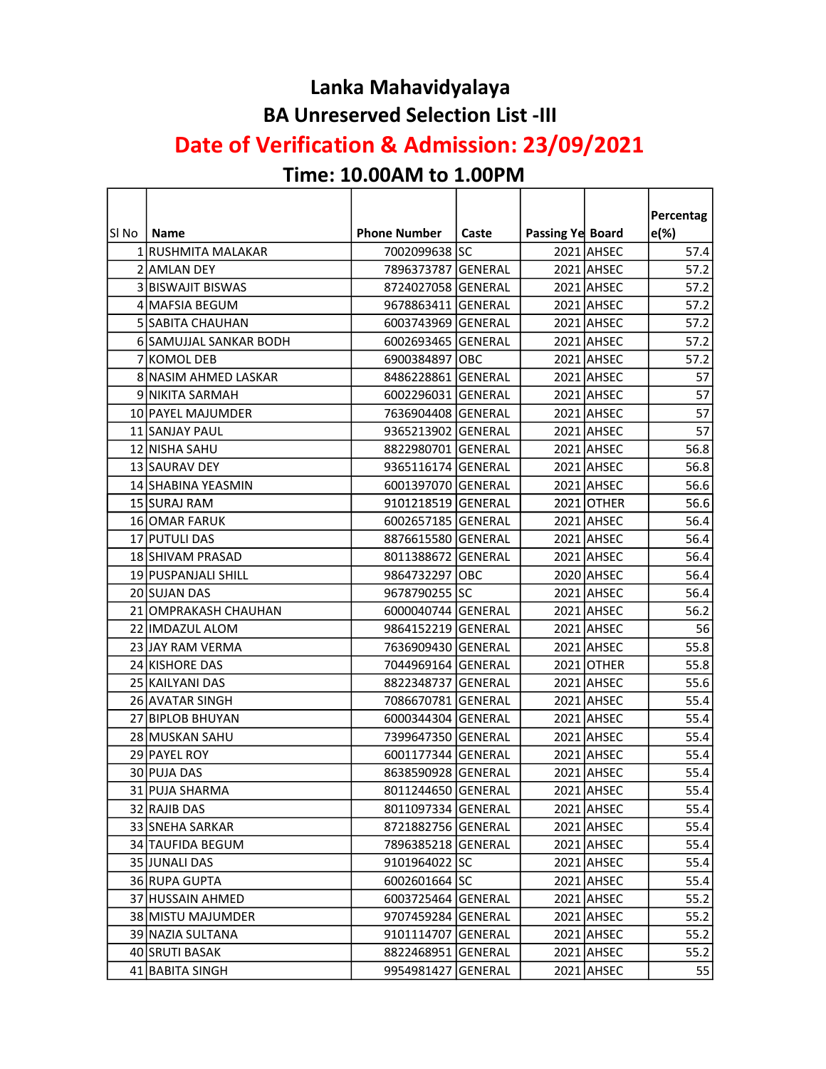#### Lanka Mahavidyalaya BA Unreserved Selection List -III

#### Date of Verification & Admission: 23/09/2021

# Time: 10.00AM to 1.00PM

 $\mathbf{r}$ 

|       |                        |                     |       |                  |            | Percentag |
|-------|------------------------|---------------------|-------|------------------|------------|-----------|
| SI No | <b>Name</b>            | <b>Phone Number</b> | Caste | Passing Ye Board |            | $e(\%)$   |
|       | 1 RUSHMITA MALAKAR     | 7002099638 SC       |       |                  | 2021 AHSEC | 57.4      |
|       | 2 AMLAN DEY            | 7896373787 GENERAL  |       |                  | 2021 AHSEC | 57.2      |
|       | 3 BISWAJIT BISWAS      | 8724027058 GENERAL  |       |                  | 2021 AHSEC | 57.2      |
|       | 4 MAFSIA BEGUM         | 9678863411 GENERAL  |       |                  | 2021 AHSEC | 57.2      |
|       | 5 SABITA CHAUHAN       | 6003743969 GENERAL  |       |                  | 2021 AHSEC | 57.2      |
|       | 6 SAMUJJAL SANKAR BODH | 6002693465 GENERAL  |       |                  | 2021 AHSEC | 57.2      |
|       | 7 KOMOL DEB            | 6900384897 OBC      |       |                  | 2021 AHSEC | 57.2      |
|       | 8 NASIM AHMED LASKAR   | 8486228861 GENERAL  |       |                  | 2021 AHSEC | 57        |
|       | 9 NIKITA SARMAH        | 6002296031 GENERAL  |       |                  | 2021 AHSEC | 57        |
|       | 10 PAYEL MAJUMDER      | 7636904408 GENERAL  |       |                  | 2021 AHSEC | 57        |
|       | 11 SANJAY PAUL         | 9365213902 GENERAL  |       |                  | 2021 AHSEC | 57        |
|       | 12 NISHA SAHU          | 8822980701 GENERAL  |       |                  | 2021 AHSEC | 56.8      |
|       | 13 SAURAV DEY          | 9365116174 GENERAL  |       |                  | 2021 AHSEC | 56.8      |
|       | 14 SHABINA YEASMIN     | 6001397070 GENERAL  |       |                  | 2021 AHSEC | 56.6      |
|       | 15 SURAJ RAM           | 9101218519 GENERAL  |       |                  | 2021 OTHER | 56.6      |
|       | 16 OMAR FARUK          | 6002657185 GENERAL  |       |                  | 2021 AHSEC | 56.4      |
|       | 17 PUTULI DAS          | 8876615580 GENERAL  |       |                  | 2021 AHSEC | 56.4      |
|       | 18 SHIVAM PRASAD       | 8011388672 GENERAL  |       |                  | 2021 AHSEC | 56.4      |
|       | 19 PUSPANJALI SHILL    | 9864732297 OBC      |       |                  | 2020 AHSEC | 56.4      |
|       | 20 SUJAN DAS           | 9678790255 SC       |       |                  | 2021 AHSEC | 56.4      |
|       | 21 OMPRAKASH CHAUHAN   | 6000040744 GENERAL  |       |                  | 2021 AHSEC | 56.2      |
|       | 22 IMDAZUL ALOM        | 9864152219 GENERAL  |       |                  | 2021 AHSEC | 56        |
|       | 23 JAY RAM VERMA       | 7636909430 GENERAL  |       |                  | 2021 AHSEC | 55.8      |
|       | 24 KISHORE DAS         | 7044969164 GENERAL  |       |                  | 2021 OTHER | 55.8      |
|       | 25 KAILYANI DAS        | 8822348737 GENERAL  |       |                  | 2021 AHSEC | 55.6      |
|       | 26 AVATAR SINGH        | 7086670781 GENERAL  |       |                  | 2021 AHSEC | 55.4      |
|       | 27 BIPLOB BHUYAN       | 6000344304 GENERAL  |       |                  | 2021 AHSEC | 55.4      |
|       | 28 MUSKAN SAHU         | 7399647350 GENERAL  |       |                  | 2021 AHSEC | 55.4      |
|       | 29 PAYEL ROY           | 6001177344 GENERAL  |       |                  | 2021 AHSEC | 55.4      |
|       | 30 PUJA DAS            | 8638590928 GENERAL  |       |                  | 2021 AHSEC | 55.4      |
|       | 31 PUJA SHARMA         | 8011244650 GENERAL  |       |                  | 2021 AHSEC | 55.4      |
|       | 32 RAJIB DAS           | 8011097334 GENERAL  |       |                  | 2021 AHSEC | 55.4      |
|       | 33 SNEHA SARKAR        | 8721882756 GENERAL  |       |                  | 2021 AHSEC | 55.4      |
|       | 34 TAUFIDA BEGUM       | 7896385218 GENERAL  |       |                  | 2021 AHSEC | 55.4      |
|       | 35 JUNALI DAS          | 9101964022 SC       |       |                  | 2021 AHSEC | 55.4      |
|       | 36 RUPA GUPTA          | 6002601664 SC       |       |                  | 2021 AHSEC | 55.4      |
|       | 37 HUSSAIN AHMED       | 6003725464 GENERAL  |       |                  | 2021 AHSEC | 55.2      |
|       | 38 MISTU MAJUMDER      | 9707459284 GENERAL  |       |                  | 2021 AHSEC | 55.2      |
|       | 39 NAZIA SULTANA       | 9101114707 GENERAL  |       |                  | 2021 AHSEC | 55.2      |
|       | 40 SRUTI BASAK         | 8822468951 GENERAL  |       |                  | 2021 AHSEC | 55.2      |
|       | 41 BABITA SINGH        | 9954981427 GENERAL  |       |                  | 2021 AHSEC | 55        |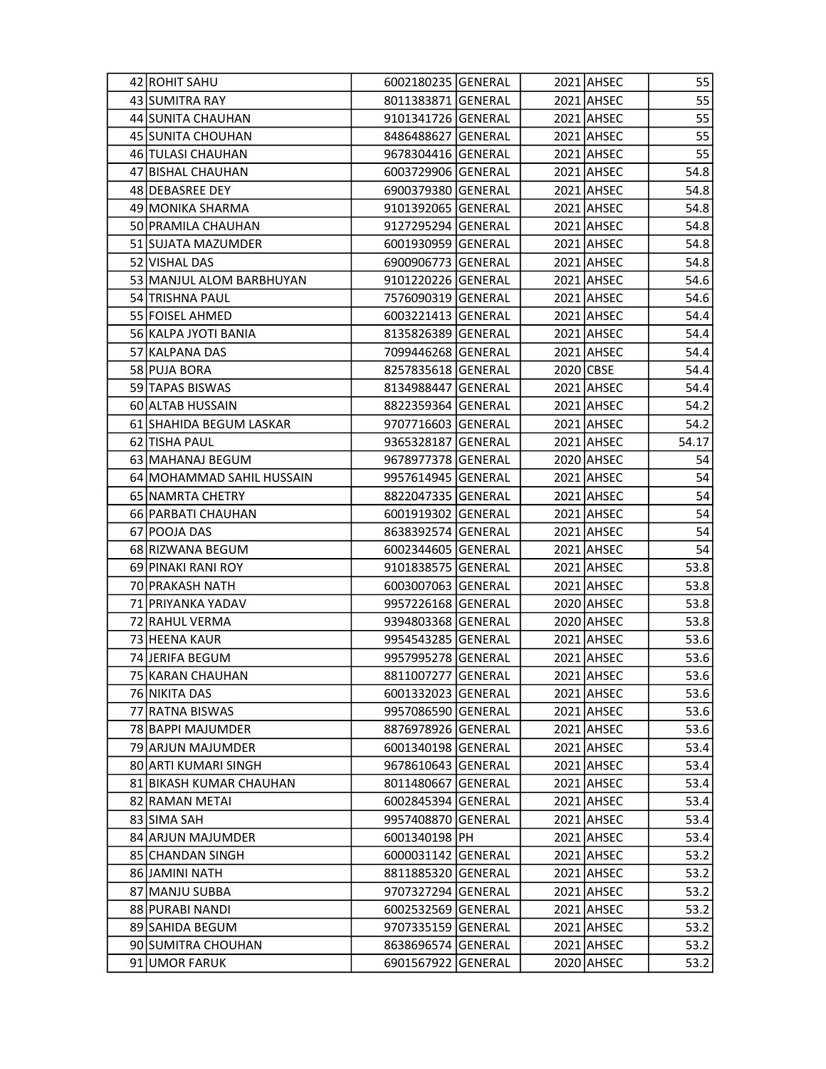| 42 ROHIT SAHU             | 6002180235 GENERAL |  | 2021 AHSEC | 55    |
|---------------------------|--------------------|--|------------|-------|
| 43 SUMITRA RAY            | 8011383871 GENERAL |  | 2021 AHSEC | 55    |
| 44 SUNITA CHAUHAN         | 9101341726 GENERAL |  | 2021 AHSEC | 55    |
| 45 SUNITA CHOUHAN         | 8486488627 GENERAL |  | 2021 AHSEC | 55    |
| 46 TULASI CHAUHAN         | 9678304416 GENERAL |  | 2021 AHSEC | 55    |
| 47 BISHAL CHAUHAN         | 6003729906 GENERAL |  | 2021 AHSEC | 54.8  |
| 48 DEBASREE DEY           | 6900379380 GENERAL |  | 2021 AHSEC | 54.8  |
| 49 MONIKA SHARMA          | 9101392065 GENERAL |  | 2021 AHSEC | 54.8  |
| 50 PRAMILA CHAUHAN        | 9127295294 GENERAL |  | 2021 AHSEC | 54.8  |
| 51 SUJATA MAZUMDER        | 6001930959 GENERAL |  | 2021 AHSEC | 54.8  |
| 52 VISHAL DAS             | 6900906773 GENERAL |  | 2021 AHSEC | 54.8  |
| 53 MANJUL ALOM BARBHUYAN  | 9101220226 GENERAL |  | 2021 AHSEC | 54.6  |
| 54 TRISHNA PAUL           | 7576090319 GENERAL |  | 2021 AHSEC | 54.6  |
| 55 FOISEL AHMED           | 6003221413 GENERAL |  | 2021 AHSEC | 54.4  |
| 56 KALPA JYOTI BANIA      | 8135826389 GENERAL |  | 2021 AHSEC | 54.4  |
| 57 KALPANA DAS            | 7099446268 GENERAL |  | 2021 AHSEC | 54.4  |
| 58 PUJA BORA              | 8257835618 GENERAL |  | 2020 CBSE  | 54.4  |
| 59 TAPAS BISWAS           | 8134988447 GENERAL |  | 2021 AHSEC | 54.4  |
| 60 ALTAB HUSSAIN          | 8822359364 GENERAL |  | 2021 AHSEC | 54.2  |
| 61 SHAHIDA BEGUM LASKAR   | 9707716603 GENERAL |  | 2021 AHSEC | 54.2  |
| 62 TISHA PAUL             | 9365328187 GENERAL |  | 2021 AHSEC | 54.17 |
| 63 MAHANAJ BEGUM          | 9678977378 GENERAL |  | 2020 AHSEC | 54    |
| 64 MOHAMMAD SAHIL HUSSAIN | 9957614945 GENERAL |  | 2021 AHSEC | 54    |
| 65 NAMRTA CHETRY          | 8822047335 GENERAL |  | 2021 AHSEC | 54    |
| 66 PARBATI CHAUHAN        | 6001919302 GENERAL |  | 2021 AHSEC | 54    |
| 67 POOJA DAS              | 8638392574 GENERAL |  | 2021 AHSEC | 54    |
| 68 RIZWANA BEGUM          |                    |  |            | 54    |
|                           | 6002344605 GENERAL |  | 2021 AHSEC |       |
| 69 PINAKI RANI ROY        | 9101838575 GENERAL |  | 2021 AHSEC | 53.8  |
| 70 PRAKASH NATH           | 6003007063 GENERAL |  | 2021 AHSEC | 53.8  |
| 71 PRIYANKA YADAV         | 9957226168 GENERAL |  | 2020 AHSEC | 53.8  |
| 72 RAHUL VERMA            | 9394803368 GENERAL |  | 2020 AHSEC | 53.8  |
| 73 HEENA KAUR             | 9954543285 GENERAL |  | 2021 AHSEC | 53.6  |
| 74 JERIFA BEGUM           | 9957995278 GENERAL |  | 2021 AHSEC | 53.6  |
| 75 KARAN CHAUHAN          | 8811007277 GENERAL |  | 2021 AHSEC | 53.6  |
| 76 NIKITA DAS             | 6001332023 GENERAL |  | 2021 AHSEC | 53.6  |
| 77 RATNA BISWAS           | 9957086590 GENERAL |  | 2021 AHSEC | 53.6  |
| 78 BAPPI MAJUMDER         | 8876978926 GENERAL |  | 2021 AHSEC | 53.6  |
| 79 ARJUN MAJUMDER         | 6001340198 GENERAL |  | 2021 AHSEC | 53.4  |
| 80 ARTI KUMARI SINGH      | 9678610643 GENERAL |  | 2021 AHSEC | 53.4  |
| 81 BIKASH KUMAR CHAUHAN   | 8011480667 GENERAL |  | 2021 AHSEC | 53.4  |
| 82 RAMAN METAI            | 6002845394 GENERAL |  | 2021 AHSEC | 53.4  |
| 83 SIMA SAH               | 9957408870 GENERAL |  | 2021 AHSEC | 53.4  |
| 84 ARJUN MAJUMDER         | 6001340198 PH      |  | 2021 AHSEC | 53.4  |
| 85 CHANDAN SINGH          | 6000031142 GENERAL |  | 2021 AHSEC | 53.2  |
| 86 JAMINI NATH            | 8811885320 GENERAL |  | 2021 AHSEC | 53.2  |
| 87 MANJU SUBBA            | 9707327294 GENERAL |  | 2021 AHSEC | 53.2  |
| 88 PURABI NANDI           | 6002532569 GENERAL |  | 2021 AHSEC | 53.2  |
| 89 SAHIDA BEGUM           | 9707335159 GENERAL |  | 2021 AHSEC | 53.2  |
| 90 SUMITRA CHOUHAN        | 8638696574 GENERAL |  | 2021 AHSEC | 53.2  |
| 91 UMOR FARUK             | 6901567922 GENERAL |  | 2020 AHSEC | 53.2  |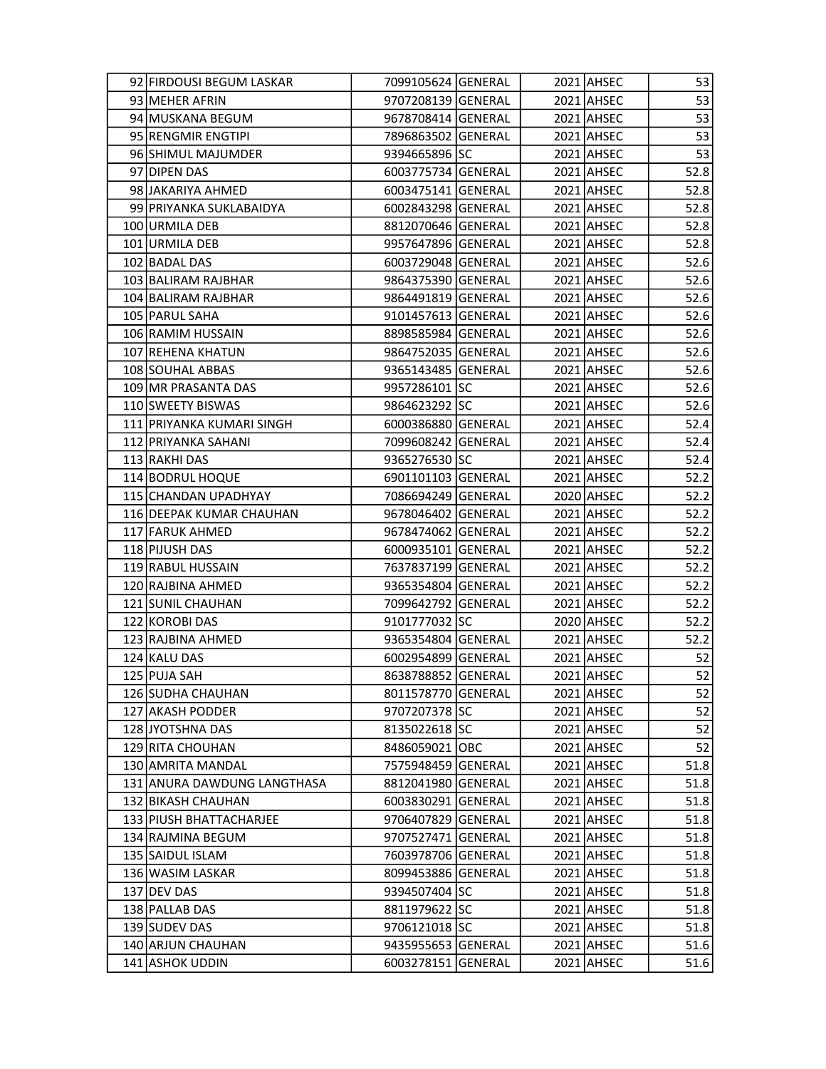| 92 FIRDOUSI BEGUM LASKAR    | 7099105624 GENERAL |  | 2021 AHSEC | 53           |
|-----------------------------|--------------------|--|------------|--------------|
| 93 MEHER AFRIN              | 9707208139 GENERAL |  | 2021 AHSEC | 53           |
| 94 MUSKANA BEGUM            | 9678708414 GENERAL |  | 2021 AHSEC | 53           |
| 95 RENGMIR ENGTIPI          | 7896863502 GENERAL |  | 2021 AHSEC | 53           |
| 96 SHIMUL MAJUMDER          | 9394665896 SC      |  | 2021 AHSEC | 53           |
| 97 DIPEN DAS                | 6003775734 GENERAL |  | 2021 AHSEC | 52.8         |
| 98 JAKARIYA AHMED           | 6003475141 GENERAL |  | 2021 AHSEC | 52.8         |
| 99 PRIYANKA SUKLABAIDYA     | 6002843298 GENERAL |  | 2021 AHSEC | 52.8         |
| 100 URMILA DEB              | 8812070646 GENERAL |  | 2021 AHSEC | 52.8         |
| 101 URMILA DEB              | 9957647896 GENERAL |  | 2021 AHSEC | 52.8         |
| 102 BADAL DAS               | 6003729048 GENERAL |  | 2021 AHSEC | 52.6         |
| 103 BALIRAM RAJBHAR         | 9864375390 GENERAL |  | 2021 AHSEC | 52.6         |
| 104 BALIRAM RAJBHAR         | 9864491819 GENERAL |  | 2021 AHSEC | 52.6         |
| 105 PARUL SAHA              | 9101457613 GENERAL |  | 2021 AHSEC | 52.6         |
| 106 RAMIM HUSSAIN           | 8898585984 GENERAL |  | 2021 AHSEC | 52.6         |
| 107 REHENA KHATUN           | 9864752035 GENERAL |  | 2021 AHSEC | 52.6         |
| 108 SOUHAL ABBAS            | 9365143485 GENERAL |  | 2021 AHSEC | 52.6         |
| 109 MR PRASANTA DAS         | 9957286101 SC      |  | 2021 AHSEC | 52.6         |
| 110 SWEETY BISWAS           | 9864623292 SC      |  | 2021 AHSEC | 52.6         |
| 111 PRIYANKA KUMARI SINGH   | 6000386880 GENERAL |  | 2021 AHSEC | 52.4         |
| 112 PRIYANKA SAHANI         | 7099608242 GENERAL |  | 2021 AHSEC | 52.4         |
| 113 RAKHI DAS               | 9365276530 SC      |  | 2021 AHSEC | 52.4         |
| 114 BODRUL HOQUE            | 6901101103 GENERAL |  | 2021 AHSEC | 52.2         |
| 115 CHANDAN UPADHYAY        | 7086694249 GENERAL |  | 2020 AHSEC | 52.2         |
| 116 DEEPAK KUMAR CHAUHAN    | 9678046402 GENERAL |  | 2021 AHSEC | 52.2         |
| 117 FARUK AHMED             | 9678474062 GENERAL |  | 2021 AHSEC | 52.2         |
| 118 PIJUSH DAS              |                    |  |            | 52.2         |
| 119 RABUL HUSSAIN           | 6000935101 GENERAL |  | 2021 AHSEC |              |
| 120 RAJBINA AHMED           | 7637837199 GENERAL |  | 2021 AHSEC | 52.2<br>52.2 |
|                             | 9365354804 GENERAL |  | 2021 AHSEC |              |
| 121 SUNIL CHAUHAN           | 7099642792 GENERAL |  | 2021 AHSEC | 52.2         |
| 122 KOROBI DAS              | 9101777032 SC      |  | 2020 AHSEC | 52.2         |
| 123 RAJBINA AHMED           | 9365354804 GENERAL |  | 2021 AHSEC | 52.2         |
| 124 KALU DAS                | 6002954899 GENERAL |  | 2021 AHSEC | 52           |
| 125 PUJA SAH                | 8638788852 GENERAL |  | 2021 AHSEC | 52           |
| 126 SUDHA CHAUHAN           | 8011578770 GENERAL |  | 2021 AHSEC | 52           |
| 127 AKASH PODDER            | 9707207378 SC      |  | 2021 AHSEC | 52           |
| 128 JYOTSHNA DAS            | 8135022618 SC      |  | 2021 AHSEC | 52           |
| 129 RITA CHOUHAN            | 8486059021 OBC     |  | 2021 AHSEC | 52           |
| 130 AMRITA MANDAL           | 7575948459 GENERAL |  | 2021 AHSEC | 51.8         |
| 131 ANURA DAWDUNG LANGTHASA | 8812041980 GENERAL |  | 2021 AHSEC | 51.8         |
| 132 BIKASH CHAUHAN          | 6003830291 GENERAL |  | 2021 AHSEC | 51.8         |
| 133 PIUSH BHATTACHARJEE     | 9706407829 GENERAL |  | 2021 AHSEC | 51.8         |
| 134 RAJMINA BEGUM           | 9707527471 GENERAL |  | 2021 AHSEC | 51.8         |
| 135 SAIDUL ISLAM            | 7603978706 GENERAL |  | 2021 AHSEC | 51.8         |
| 136 WASIM LASKAR            | 8099453886 GENERAL |  | 2021 AHSEC | 51.8         |
| 137 DEV DAS                 | 9394507404 SC      |  | 2021 AHSEC | 51.8         |
| 138 PALLAB DAS              | 8811979622 SC      |  | 2021 AHSEC | 51.8         |
| 139 SUDEV DAS               | 9706121018 SC      |  | 2021 AHSEC | 51.8         |
| 140 ARJUN CHAUHAN           | 9435955653 GENERAL |  | 2021 AHSEC | 51.6         |
| 141 ASHOK UDDIN             | 6003278151 GENERAL |  | 2021 AHSEC | 51.6         |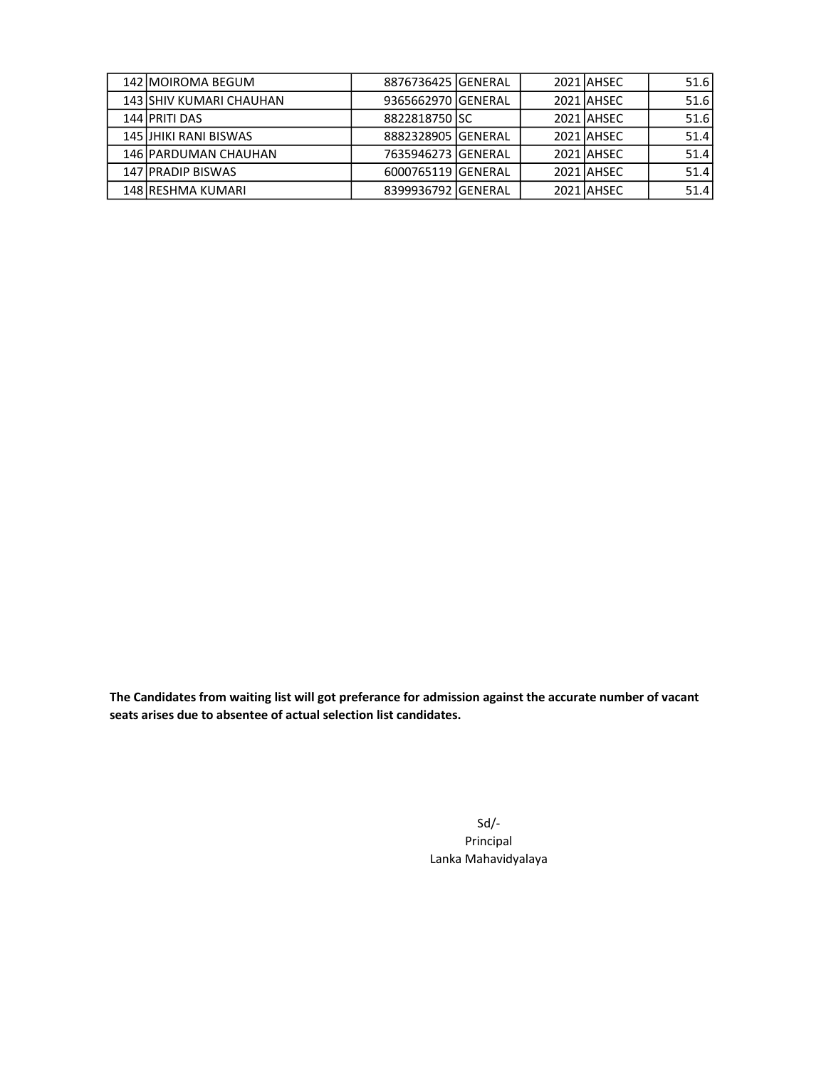| 142 MOIROMA BEGUM       | 8876736425 GENERAL |  | 2021 AHSEC | 51.6 |
|-------------------------|--------------------|--|------------|------|
| 143 SHIV KUMARI CHAUHAN | 9365662970 GENERAL |  | 2021 AHSEC | 51.6 |
| 144 PRITI DAS           | 8822818750 SC      |  | 2021 AHSEC | 51.6 |
| 145 JHIKI RANI BISWAS   | 8882328905 GENERAL |  | 2021 AHSEC | 51.4 |
| 146 PARDUMAN CHAUHAN    | 7635946273 GENERAL |  | 2021 AHSEC | 51.4 |
| 147 PRADIP BISWAS       | 6000765119 GENERAL |  | 2021 AHSEC | 51.4 |
| 148 RESHMA KUMARI       | 8399936792 GENERAL |  | 2021 AHSEC | 51.4 |

The Candidates from waiting list will got preferance for admission against the accurate number of vacant seats arises due to absentee of actual selection list candidates.

> Sd/- Principal Lanka Mahavidyalaya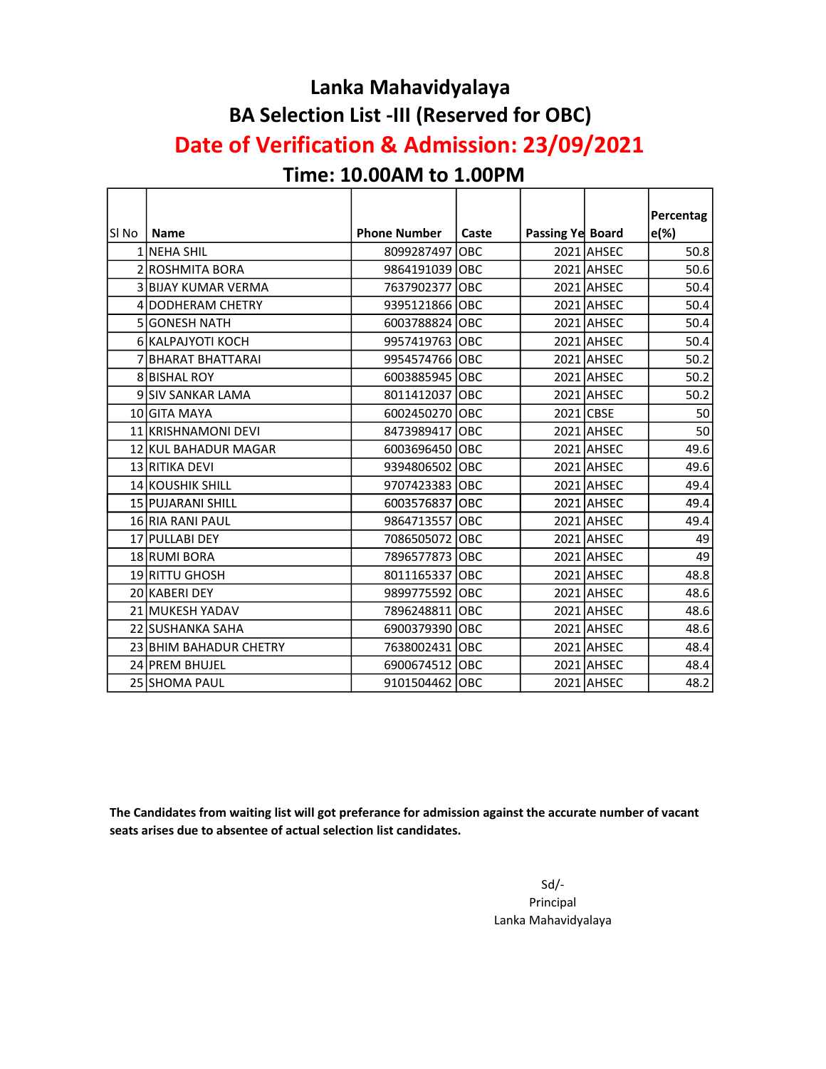## Lanka Mahavidyalaya BA Selection List -III (Reserved for OBC)

## Date of Verification & Admission: 23/09/2021

#### Time: 10.00AM to 1.00PM

|       |                         |                     |       |                  |            | Percentag |
|-------|-------------------------|---------------------|-------|------------------|------------|-----------|
| SI No | <b>Name</b>             | <b>Phone Number</b> | Caste | Passing Ye Board |            | $e(\%)$   |
|       | 1 NEHA SHIL             | 8099287497          | OBC   |                  | 2021 AHSEC | 50.8      |
|       | 2 ROSHMITA BORA         | 9864191039 OBC      |       |                  | 2021 AHSEC | 50.6      |
|       | 3 BIJAY KUMAR VERMA     | 7637902377 OBC      |       |                  | 2021 AHSEC | 50.4      |
|       | 4 DODHERAM CHETRY       | 9395121866 OBC      |       |                  | 2021 AHSEC | 50.4      |
|       | 5 GONESH NATH           | 6003788824 OBC      |       |                  | 2021 AHSEC | 50.4      |
|       | 6 KALPAJYOTI KOCH       | 9957419763 OBC      |       |                  | 2021 AHSEC | 50.4      |
|       | 7 BHARAT BHATTARAI      | 9954574766 OBC      |       |                  | 2021 AHSEC | 50.2      |
|       | <b>8 BISHAL ROY</b>     | 6003885945 OBC      |       |                  | 2021 AHSEC | 50.2      |
|       | 9 SIV SANKAR LAMA       | 8011412037 OBC      |       |                  | 2021 AHSEC | 50.2      |
|       | 10 GITA MAYA            | 6002450270 OBC      |       |                  | 2021 CBSE  | 50        |
|       | 11 KRISHNAMONI DEVI     | 8473989417 OBC      |       |                  | 2021 AHSEC | 50        |
|       | 12 KUL BAHADUR MAGAR    | 6003696450 OBC      |       |                  | 2021 AHSEC | 49.6      |
|       | 13 RITIKA DEVI          | 9394806502 OBC      |       |                  | 2021 AHSEC | 49.6      |
|       | <b>14 KOUSHIK SHILL</b> | 9707423383 OBC      |       |                  | 2021 AHSEC | 49.4      |
|       | 15 PUJARANI SHILL       | 6003576837 OBC      |       |                  | 2021 AHSEC | 49.4      |
|       | 16 RIA RANI PAUL        | 9864713557 OBC      |       |                  | 2021 AHSEC | 49.4      |
|       | 17 PULLABI DEY          | 7086505072 OBC      |       |                  | 2021 AHSEC | 49        |
|       | 18 RUMI BORA            | 7896577873 OBC      |       |                  | 2021 AHSEC | 49        |
|       | 19 RITTU GHOSH          | 8011165337 OBC      |       |                  | 2021 AHSEC | 48.8      |
|       | 20 KABERI DEY           | 9899775592 OBC      |       |                  | 2021 AHSEC | 48.6      |
|       | 21 MUKESH YADAV         | 7896248811 OBC      |       |                  | 2021 AHSEC | 48.6      |
|       | 22 ISUSHANKA SAHA       | 6900379390 OBC      |       |                  | 2021 AHSEC | 48.6      |
|       | 23 BHIM BAHADUR CHETRY  | 7638002431 OBC      |       |                  | 2021 AHSEC | 48.4      |
|       | 24 PREM BHUJEL          | 6900674512 OBC      |       |                  | 2021 AHSEC | 48.4      |
|       | 25 SHOMA PAUL           | 9101504462 OBC      |       |                  | 2021 AHSEC | 48.2      |

The Candidates from waiting list will got preferance for admission against the accurate number of vacant seats arises due to absentee of actual selection list candidates.

> Sd/- Principal Lanka Mahavidyalaya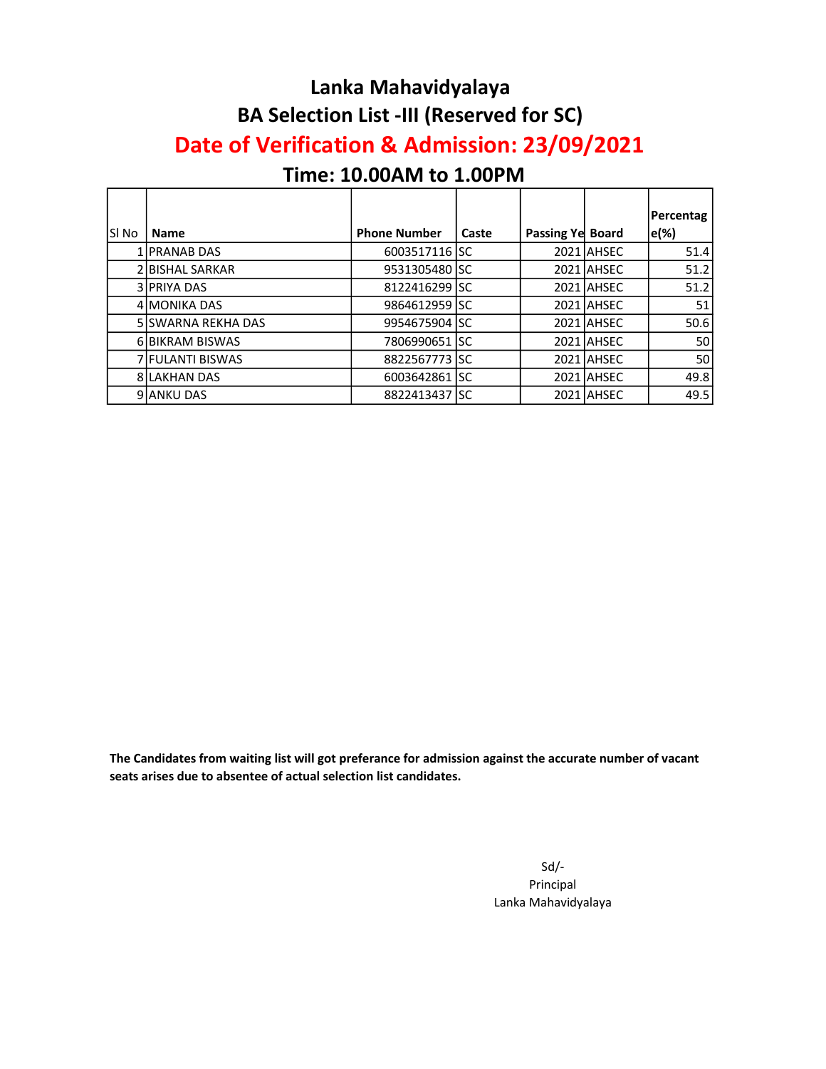#### Lanka Mahavidyalaya BA Selection List -III (Reserved for SC)

#### Date of Verification & Admission: 23/09/2021

#### Time: 10.00AM to 1.00PM

|        |                            |                     |       |                  |            | Percentag |
|--------|----------------------------|---------------------|-------|------------------|------------|-----------|
| ISI No | <b>Name</b>                | <b>Phone Number</b> | Caste | Passing Ye Board |            | e(%)      |
|        | 1 PRANAB DAS               | 6003517116 SC       |       |                  | 2021 AHSEC | 51.4      |
|        | 2 BISHAL SARKAR            | 9531305480 SC       |       |                  | 2021 AHSEC | 51.2      |
|        | 3 PRIYA DAS                | 8122416299 SC       |       |                  | 2021 AHSEC | 51.2      |
|        | 4 MONIKA DAS               | 9864612959 ISC      |       |                  | 2021 AHSEC | 51        |
|        | <b>5 ISWARNA REKHA DAS</b> | 9954675904   SC     |       |                  | 2021 AHSEC | 50.6      |
|        | 6 BIKRAM BISWAS            | 7806990651 ISC      |       |                  | 2021 AHSEC | 50 l      |
|        | 7 FULANTI BISWAS           | 8822567773 SC       |       |                  | 2021 AHSEC | 50 l      |
|        | <b>8ILAKHAN DAS</b>        | 6003642861 SC       |       |                  | 2021 AHSEC | 49.8      |
|        | 9 ANKU DAS                 | 8822413437 SC       |       |                  | 2021 AHSEC | 49.5      |

The Candidates from waiting list will got preferance for admission against the accurate number of vacant seats arises due to absentee of actual selection list candidates.

> Sd/- Principal Lanka Mahavidyalaya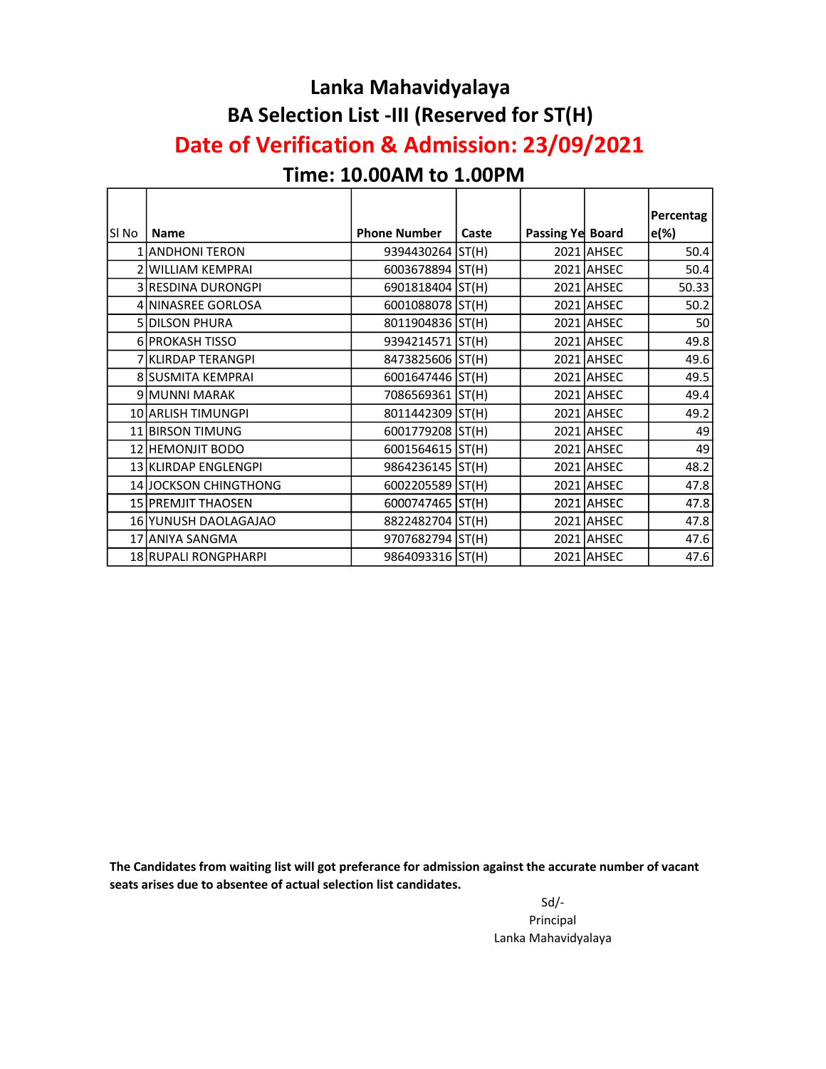#### Lanka Mahavidyalaya BA Selection List -III (Reserved for ST(H) Date of Verification & Admission: 23/09/2021

#### Time: 10.00AM to 1.00PM

|        |                       |                     |       |                  |            | Percentag |
|--------|-----------------------|---------------------|-------|------------------|------------|-----------|
| lSI No | <b>Name</b>           | <b>Phone Number</b> | Caste | Passing Ye Board |            | e(%)      |
|        | 1 ANDHONI TERON       | 9394430264 ST(H)    |       |                  | 2021 AHSEC | 50.4      |
|        | 2 WILLIAM KEMPRAI     | 6003678894 ST(H)    |       |                  | 2021 AHSEC | 50.4      |
|        | 3 RESDINA DURONGPI    | 6901818404 ST(H)    |       |                  | 2021 AHSEC | 50.33     |
|        | 4 NINASREE GORLOSA    | 6001088078 ST(H)    |       |                  | 2021 AHSEC | 50.2      |
|        | <b>5 DILSON PHURA</b> | 8011904836 ST(H)    |       |                  | 2021 AHSEC | 50        |
|        | 6 PROKASH TISSO       | 9394214571 ST(H)    |       |                  | 2021 AHSEC | 49.8      |
|        | 7 KLIRDAP TERANGPI    | 8473825606 ST(H)    |       |                  | 2021 AHSEC | 49.6      |
|        | 8 SUSMITA KEMPRAI     | 6001647446 ST(H)    |       |                  | 2021 AHSEC | 49.5      |
|        | 9 MUNNI MARAK         | 7086569361 ST(H)    |       |                  | 2021 AHSEC | 49.4      |
|        | 10 ARLISH TIMUNGPI    | 8011442309 ST(H)    |       |                  | 2021 AHSEC | 49.2      |
|        | 11 BIRSON TIMUNG      | 6001779208 ST(H)    |       |                  | 2021 AHSEC | 49        |
|        | 12 HEMONJIT BODO      | 6001564615 ST(H)    |       |                  | 2021 AHSEC | 49        |
|        | 13 KLIRDAP ENGLENGPI  | 9864236145 ST(H)    |       |                  | 2021 AHSEC | 48.2      |
|        | 14 JOCKSON CHINGTHONG | 6002205589 ST(H)    |       |                  | 2021 AHSEC | 47.8      |
|        | 15 PREMJIT THAOSEN    | 6000747465 ST(H)    |       |                  | 2021 AHSEC | 47.8      |
|        | 16 YUNUSH DAOLAGAJAO  | 8822482704 ST(H)    |       |                  | 2021 AHSEC | 47.8      |
|        | 17 ANIYA SANGMA       | 9707682794 ST(H)    |       |                  | 2021 AHSEC | 47.6      |
|        | 18 RUPALI RONGPHARPI  | 9864093316 ST(H)    |       |                  | 2021 AHSEC | 47.6      |

The Candidates from waiting list will got preferance for admission against the accurate number of vacant seats arises due to absentee of actual selection list candidates.

> Sd/- Principal Lanka Mahavidyalaya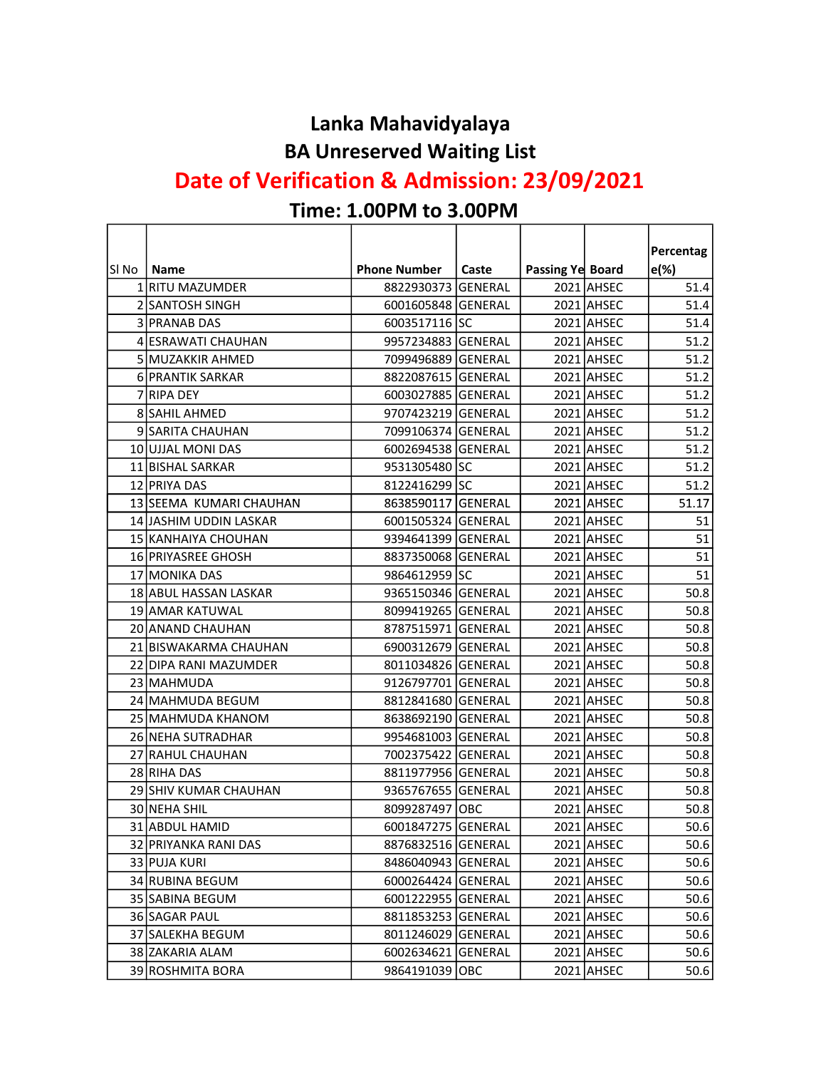#### Lanka Mahavidyalaya BA Unreserved Waiting List

## Date of Verification & Admission: 23/09/2021

# Time: 1.00PM to 3.00PM

r

|        |                         |                     |          |                  |            | Percentag |
|--------|-------------------------|---------------------|----------|------------------|------------|-----------|
| lsi No | <b>Name</b>             | <b>Phone Number</b> | Caste    | Passing Ye Board |            | $e(\%)$   |
|        | 1 RITU MAZUMDER         | 8822930373          | lgeneral |                  | 2021 AHSEC | 51.4      |
|        | 2 SANTOSH SINGH         | 6001605848 GENERAL  |          |                  | 2021 AHSEC | 51.4      |
|        | 3 PRANAB DAS            | 6003517116 SC       |          |                  | 2021 AHSEC | 51.4      |
|        | 4 ESRAWATI CHAUHAN      | 9957234883 GENERAL  |          |                  | 2021 AHSEC | 51.2      |
|        | 5 MUZAKKIR AHMED        | 7099496889 GENERAL  |          |                  | 2021 AHSEC | 51.2      |
|        | 6 PRANTIK SARKAR        | 8822087615 GENERAL  |          |                  | 2021 AHSEC | 51.2      |
|        | 7 RIPA DEY              | 6003027885 GENERAL  |          |                  | 2021 AHSEC | 51.2      |
|        | <b>8 SAHIL AHMED</b>    | 9707423219 GENERAL  |          |                  | 2021 AHSEC | 51.2      |
|        | 9 SARITA CHAUHAN        | 7099106374 GENERAL  |          |                  | 2021 AHSEC | 51.2      |
|        | 10 UJJAL MONI DAS       | 6002694538 GENERAL  |          |                  | 2021 AHSEC | 51.2      |
|        | 11 BISHAL SARKAR        | 9531305480 SC       |          |                  | 2021 AHSEC | 51.2      |
|        | 12 PRIYA DAS            | 8122416299 SC       |          |                  | 2021 AHSEC | 51.2      |
|        | 13 SEEMA KUMARI CHAUHAN | 8638590117 GENERAL  |          |                  | 2021 AHSEC | 51.17     |
|        | 14 JASHIM UDDIN LASKAR  | 6001505324 GENERAL  |          |                  | 2021 AHSEC | 51        |
|        | 15 KANHAIYA CHOUHAN     | 9394641399 GENERAL  |          |                  | 2021 AHSEC | 51        |
|        | 16 PRIYASREE GHOSH      | 8837350068 GENERAL  |          |                  | 2021 AHSEC | 51        |
|        | 17 MONIKA DAS           | 9864612959 SC       |          |                  | 2021 AHSEC | 51        |
|        | 18 ABUL HASSAN LASKAR   | 9365150346 GENERAL  |          |                  | 2021 AHSEC | 50.8      |
|        | 19 AMAR KATUWAL         | 8099419265 GENERAL  |          |                  | 2021 AHSEC | 50.8      |
|        | 20 ANAND CHAUHAN        | 8787515971 GENERAL  |          |                  | 2021 AHSEC | 50.8      |
|        | 21 BISWAKARMA CHAUHAN   | 6900312679 GENERAL  |          |                  | 2021 AHSEC | 50.8      |
|        | 22 DIPA RANI MAZUMDER   | 8011034826 GENERAL  |          |                  | 2021 AHSEC | 50.8      |
|        | 23 MAHMUDA              | 9126797701 GENERAL  |          |                  | 2021 AHSEC | 50.8      |
|        | 24 MAHMUDA BEGUM        | 8812841680 GENERAL  |          |                  | 2021 AHSEC | 50.8      |
|        | 25 MAHMUDA KHANOM       | 8638692190 GENERAL  |          |                  | 2021 AHSEC | 50.8      |
|        | 26 NEHA SUTRADHAR       | 9954681003 GENERAL  |          |                  | 2021 AHSEC | 50.8      |
|        | 27 RAHUL CHAUHAN        | 7002375422 GENERAL  |          |                  | 2021 AHSEC | 50.8      |
|        | 28 RIHA DAS             | 8811977956 GENERAL  |          |                  | 2021 AHSEC | 50.8      |
|        | 29 SHIV KUMAR CHAUHAN   | 9365767655 GENERAL  |          |                  | 2021 AHSEC | 50.8      |
|        | 30 NEHA SHIL            | 8099287497 OBC      |          |                  | 2021 AHSEC | 50.8      |
|        | 31 ABDUL HAMID          | 6001847275 GENERAL  |          |                  | 2021 AHSEC | 50.6      |
|        | 32 PRIYANKA RANI DAS    | 8876832516 GENERAL  |          |                  | 2021 AHSEC | 50.6      |
|        | 33 PUJA KURI            | 8486040943 GENERAL  |          |                  | 2021 AHSEC | 50.6      |
|        | 34 RUBINA BEGUM         | 6000264424 GENERAL  |          |                  | 2021 AHSEC | 50.6      |
|        | 35 SABINA BEGUM         | 6001222955 GENERAL  |          |                  | 2021 AHSEC | 50.6      |
|        | 36 SAGAR PAUL           | 8811853253 GENERAL  |          |                  | 2021 AHSEC | 50.6      |
|        | 37 SALEKHA BEGUM        | 8011246029 GENERAL  |          |                  | 2021 AHSEC | 50.6      |
|        | 38 ZAKARIA ALAM         | 6002634621 GENERAL  |          |                  | 2021 AHSEC | 50.6      |
|        | 39 ROSHMITA BORA        | 9864191039 OBC      |          |                  | 2021 AHSEC | 50.6      |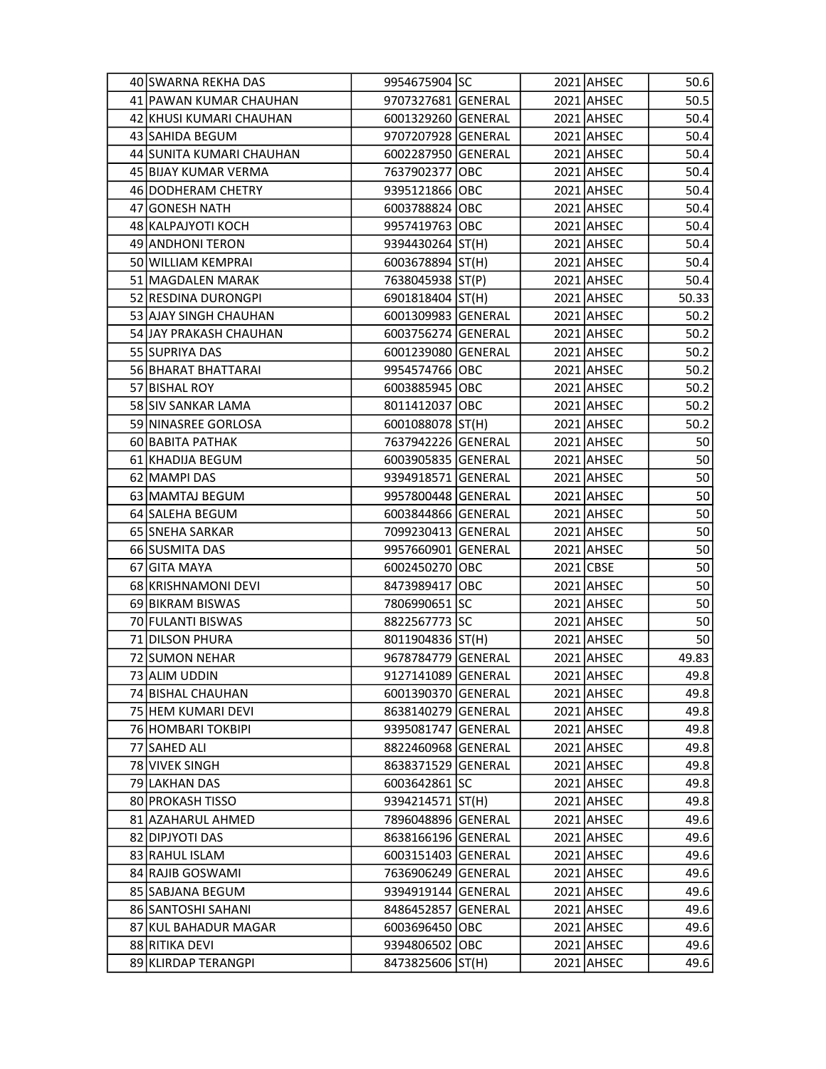| 40 SWARNA REKHA DAS      | 9954675904 SC      |  | 2021 AHSEC | 50.6  |
|--------------------------|--------------------|--|------------|-------|
| 41 PAWAN KUMAR CHAUHAN   | 9707327681 GENERAL |  | 2021 AHSEC | 50.5  |
| 42 KHUSI KUMARI CHAUHAN  | 6001329260 GENERAL |  | 2021 AHSEC | 50.4  |
| 43 SAHIDA BEGUM          | 9707207928 GENERAL |  | 2021 AHSEC | 50.4  |
| 44 SUNITA KUMARI CHAUHAN | 6002287950 GENERAL |  | 2021 AHSEC | 50.4  |
| 45 BIJAY KUMAR VERMA     | 7637902377 OBC     |  | 2021 AHSEC | 50.4  |
| 46 DODHERAM CHETRY       | 9395121866 OBC     |  | 2021 AHSEC | 50.4  |
| 47 GONESH NATH           | 6003788824 OBC     |  | 2021 AHSEC | 50.4  |
| 48 KALPAJYOTI KOCH       | 9957419763 OBC     |  | 2021 AHSEC | 50.4  |
| 49 ANDHONI TERON         | 9394430264 ST(H)   |  | 2021 AHSEC | 50.4  |
| 50 WILLIAM KEMPRAI       | 6003678894 ST(H)   |  | 2021 AHSEC | 50.4  |
| 51 MAGDALEN MARAK        | 7638045938 ST(P)   |  | 2021 AHSEC | 50.4  |
| 52 RESDINA DURONGPI      | 6901818404 ST(H)   |  | 2021 AHSEC | 50.33 |
| 53 AJAY SINGH CHAUHAN    | 6001309983 GENERAL |  | 2021 AHSEC | 50.2  |
| 54 JAY PRAKASH CHAUHAN   | 6003756274 GENERAL |  | 2021 AHSEC | 50.2  |
| 55 SUPRIYA DAS           | 6001239080 GENERAL |  | 2021 AHSEC | 50.2  |
| 56 BHARAT BHATTARAI      | 9954574766 OBC     |  | 2021 AHSEC | 50.2  |
| 57 BISHAL ROY            | 6003885945 OBC     |  | 2021 AHSEC | 50.2  |
| 58 SIV SANKAR LAMA       | 8011412037 OBC     |  | 2021 AHSEC | 50.2  |
| 59 NINASREE GORLOSA      | 6001088078 ST(H)   |  | 2021 AHSEC | 50.2  |
| 60 BABITA PATHAK         | 7637942226 GENERAL |  | 2021 AHSEC | 50    |
| 61 KHADIJA BEGUM         | 6003905835 GENERAL |  | 2021 AHSEC | 50    |
| 62 MAMPI DAS             | 9394918571 GENERAL |  | 2021 AHSEC | 50    |
| 63 MAMTAJ BEGUM          | 9957800448 GENERAL |  | 2021 AHSEC | 50    |
| 64 SALEHA BEGUM          | 6003844866 GENERAL |  | 2021 AHSEC | 50    |
| 65 SNEHA SARKAR          | 7099230413 GENERAL |  | 2021 AHSEC | 50    |
| 66 SUSMITA DAS           | 9957660901 GENERAL |  | 2021 AHSEC | 50    |
| 67 GITA MAYA             | 6002450270 OBC     |  | 2021 CBSE  | 50    |
| 68 KRISHNAMONI DEVI      | 8473989417 OBC     |  | 2021 AHSEC | 50    |
| 69 BIKRAM BISWAS         | 7806990651 SC      |  | 2021 AHSEC | 50    |
| 70 FULANTI BISWAS        | 8822567773 SC      |  | 2021 AHSEC | 50    |
| 71 DILSON PHURA          | 8011904836 ST(H)   |  | 2021 AHSEC | 50    |
| 72 SUMON NEHAR           | 9678784779 GENERAL |  | 2021 AHSEC | 49.83 |
| 73 ALIM UDDIN            | 9127141089 GENERAL |  | 2021 AHSEC | 49.8  |
| 74 BISHAL CHAUHAN        | 6001390370 GENERAL |  | 2021 AHSEC | 49.8  |
| 75 HEM KUMARI DEVI       | 8638140279 GENERAL |  | 2021 AHSEC | 49.8  |
| 76 HOMBARI TOKBIPI       | 9395081747 GENERAL |  | 2021 AHSEC | 49.8  |
| 77 SAHED ALI             | 8822460968 GENERAL |  | 2021 AHSEC | 49.8  |
| 78 VIVEK SINGH           | 8638371529 GENERAL |  | 2021 AHSEC | 49.8  |
| 79 LAKHAN DAS            | 6003642861 SC      |  | 2021 AHSEC | 49.8  |
| 80 PROKASH TISSO         | 9394214571   ST(H) |  | 2021 AHSEC | 49.8  |
| 81 AZAHARUL AHMED        | 7896048896 GENERAL |  | 2021 AHSEC | 49.6  |
| 82 DIPJYOTI DAS          | 8638166196 GENERAL |  | 2021 AHSEC | 49.6  |
| 83 RAHUL ISLAM           | 6003151403 GENERAL |  | 2021 AHSEC | 49.6  |
| 84 RAJIB GOSWAMI         | 7636906249 GENERAL |  | 2021 AHSEC | 49.6  |
| 85 SABJANA BEGUM         | 9394919144 GENERAL |  | 2021 AHSEC | 49.6  |
| 86 SANTOSHI SAHANI       | 8486452857 GENERAL |  | 2021 AHSEC | 49.6  |
| 87 KUL BAHADUR MAGAR     | 6003696450 OBC     |  | 2021 AHSEC | 49.6  |
| 88 RITIKA DEVI           | 9394806502 OBC     |  | 2021 AHSEC | 49.6  |
| 89 KLIRDAP TERANGPI      | 8473825606 ST(H)   |  | 2021 AHSEC | 49.6  |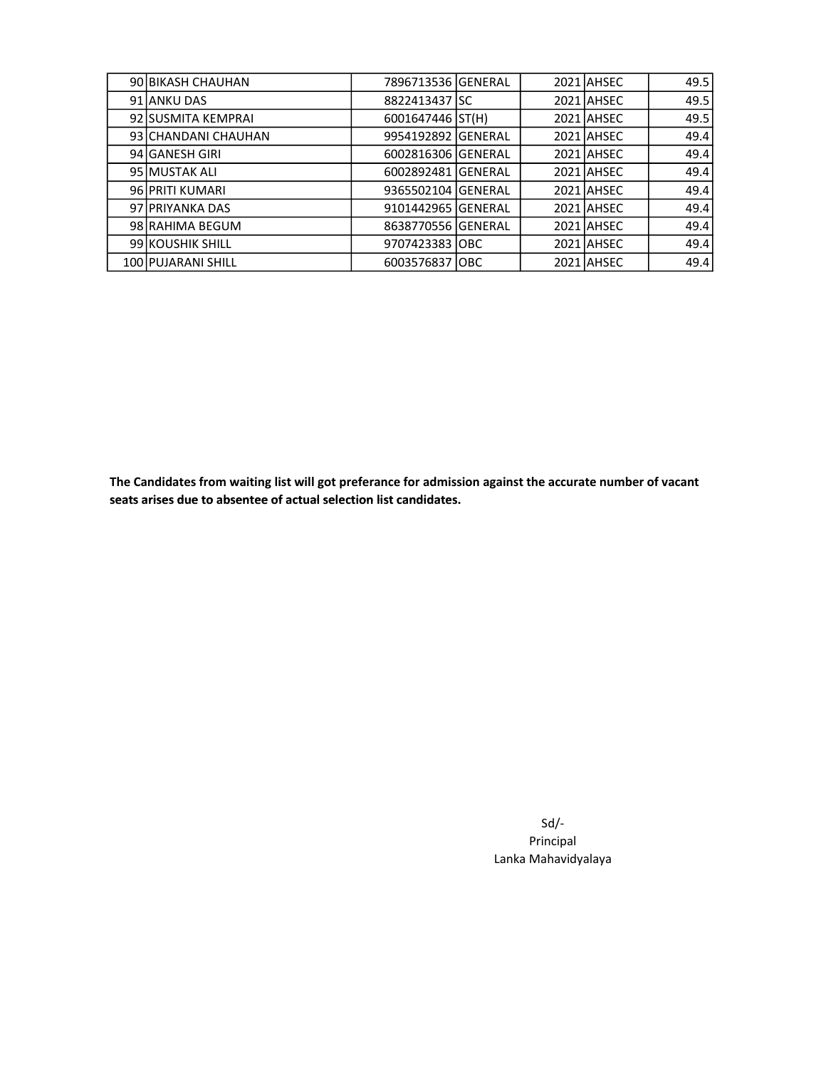| 90 BIKASH CHAUHAN      |                    |  | 2021 AHSEC | 49.5 |
|------------------------|--------------------|--|------------|------|
| 91 ANKU DAS            | 8822413437 SC      |  | 2021 AHSEC | 49.5 |
| 92 SUSMITA KEMPRAI     | 6001647446 ST(H)   |  | 2021 AHSEC | 49.5 |
| 93 CHANDANI CHAUHAN    | 9954192892 GENERAL |  | 2021 AHSEC | 49.4 |
| 94 GANESH GIRI         | 6002816306 GENERAL |  | 2021 AHSEC | 49.4 |
| 95 MUSTAK ALI          | 6002892481 GENERAL |  | 2021 AHSEC | 49.4 |
| 96 PRITI KUMARI        | 9365502104 GENERAL |  | 2021 AHSEC | 49.4 |
| 97 <b>PRIYANKA DAS</b> | 9101442965 GENERAL |  | 2021 AHSEC | 49.4 |
| 98 RAHIMA BEGUM        | 8638770556 GENERAL |  | 2021 AHSEC | 49.4 |
| 99 KOUSHIK SHILL       | 9707423383 OBC     |  | 2021 AHSEC | 49.4 |
| 100 PUJARANI SHILL     | 6003576837 OBC     |  | 2021 AHSEC | 49.4 |

The Candidates from waiting list will got preferance for admission against the accurate number of vacant seats arises due to absentee of actual selection list candidates.

> Sd/- Principal Lanka Mahavidyalaya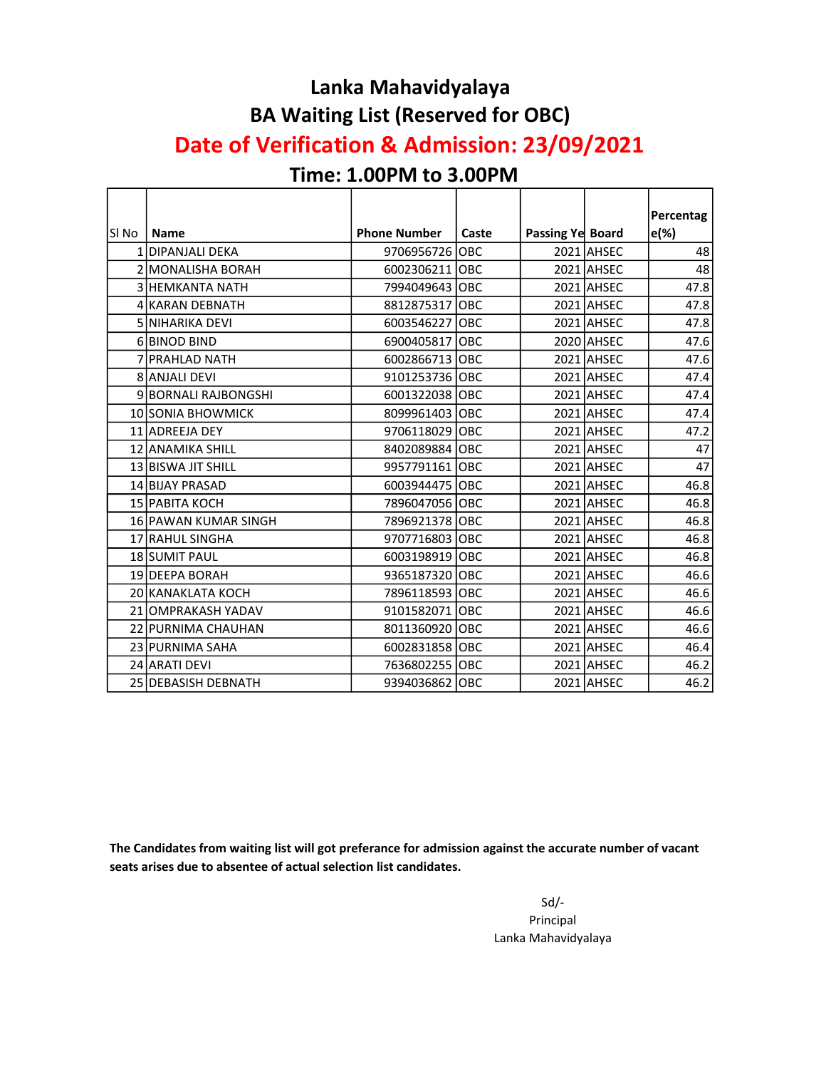#### Lanka Mahavidyalaya BA Waiting List (Reserved for OBC)

#### Date of Verification & Admission: 23/09/2021

#### Time: 1.00PM to 3.00PM

|       |                        |                     |       |                  |            | Percentag |
|-------|------------------------|---------------------|-------|------------------|------------|-----------|
| SI No | <b>Name</b>            | <b>Phone Number</b> | Caste | Passing Ye Board |            | $e(\%)$   |
|       | 1 DIPANJALI DEKA       | 9706956726          | OBC   |                  | 2021 AHSEC | 48        |
|       | 2 MONALISHA BORAH      | 6002306211 OBC      |       |                  | 2021 AHSEC | 48        |
|       | <b>3 HEMKANTA NATH</b> | 7994049643 OBC      |       |                  | 2021 AHSEC | 47.8      |
|       | 4 KARAN DEBNATH        | 8812875317 OBC      |       |                  | 2021 AHSEC | 47.8      |
|       | <b>5 NIHARIKA DEVI</b> | 6003546227 OBC      |       |                  | 2021 AHSEC | 47.8      |
|       | 6 BINOD BIND           | 6900405817 OBC      |       |                  | 2020 AHSEC | 47.6      |
|       | 7 PRAHLAD NATH         | 6002866713 OBC      |       |                  | 2021 AHSEC | 47.6      |
|       | 8 ANJALI DEVI          | 9101253736 OBC      |       |                  | 2021 AHSEC | 47.4      |
|       | 9 BORNALI RAJBONGSHI   | 6001322038 OBC      |       |                  | 2021 AHSEC | 47.4      |
|       | 10 SONIA BHOWMICK      | 8099961403 OBC      |       |                  | 2021 AHSEC | 47.4      |
|       | 11 ADREEJA DEY         | 9706118029 OBC      |       |                  | 2021 AHSEC | 47.2      |
|       | 12 ANAMIKA SHILL       | 8402089884 OBC      |       |                  | 2021 AHSEC | 47        |
|       | 13 BISWA JIT SHILL     | 9957791161 OBC      |       |                  | 2021 AHSEC | 47        |
|       | 14 BIJAY PRASAD        | 6003944475 OBC      |       |                  | 2021 AHSEC | 46.8      |
|       | 15 PABITA KOCH         | 7896047056 OBC      |       |                  | 2021 AHSEC | 46.8      |
|       | 16 PAWAN KUMAR SINGH   | 7896921378 OBC      |       |                  | 2021 AHSEC | 46.8      |
|       | 17 RAHUL SINGHA        | 9707716803 OBC      |       |                  | 2021 AHSEC | 46.8      |
|       | 18 SUMIT PAUL          | 6003198919 OBC      |       |                  | 2021 AHSEC | 46.8      |
|       | 19 <b>IDEEPA BORAH</b> | 9365187320 OBC      |       |                  | 2021 AHSEC | 46.6      |
|       | 20 KANAKLATA KOCH      | 7896118593 OBC      |       |                  | 2021 AHSEC | 46.6      |
|       | 21 OMPRAKASH YADAV     | 9101582071 OBC      |       |                  | 2021 AHSEC | 46.6      |
|       | 22 PURNIMA CHAUHAN     | 8011360920 OBC      |       |                  | 2021 AHSEC | 46.6      |
|       | 23 PURNIMA SAHA        | 6002831858 OBC      |       |                  | 2021 AHSEC | 46.4      |
|       | 24 ARATI DEVI          | 7636802255 OBC      |       |                  | 2021 AHSEC | 46.2      |
|       | 25 DEBASISH DEBNATH    | 9394036862 OBC      |       |                  | 2021 AHSEC | 46.2      |

The Candidates from waiting list will got preferance for admission against the accurate number of vacant seats arises due to absentee of actual selection list candidates.

> Sd/- Principal Lanka Mahavidyalaya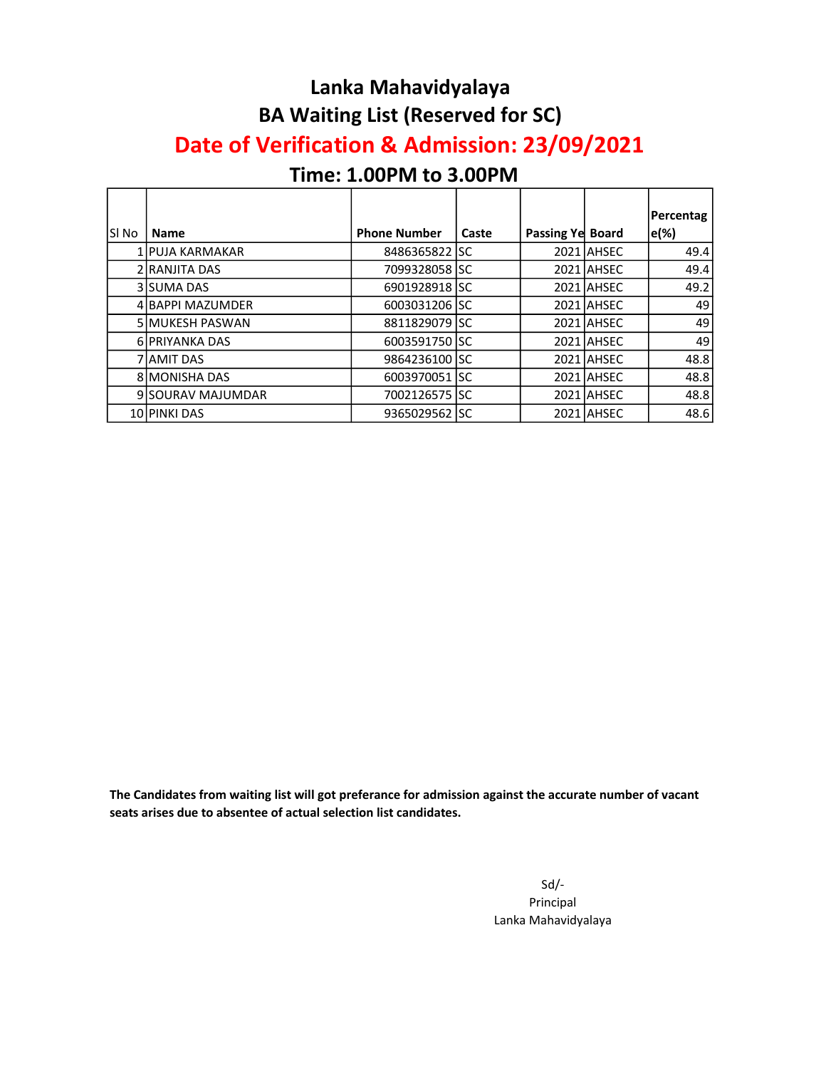#### Lanka Mahavidyalaya BA Waiting List (Reserved for SC)

#### Date of Verification & Admission: 23/09/2021

## Time: 1.00PM to 3.00PM

r

| SI No | <b>Name</b>            | <b>Phone Number</b> | Caste | <b>Passing Yel Board</b> |            | <b>Percentag</b><br>e(%) |
|-------|------------------------|---------------------|-------|--------------------------|------------|--------------------------|
|       | 1 PUJA KARMAKAR        | 8486365822 SC       |       |                          | 2021 AHSEC | 49.4                     |
|       | 2 RANJITA DAS          | 7099328058 ISC      |       |                          | 2021 AHSEC | 49.4                     |
|       | 3 SUMA DAS             | 6901928918 SC       |       |                          | 2021 AHSEC | 49.2                     |
|       | 4 BAPPI MAZUMDER       | 6003031206 ISC      |       |                          | 2021 AHSEC | 49                       |
|       | <b>5 MUKESH PASWAN</b> | 8811829079 SC       |       |                          | 2021 AHSEC | 49                       |
|       | 6 PRIYANKA DAS         | 6003591750 SC       |       |                          | 2021 AHSEC | 49                       |
|       | 7 JAMIT DAS            | 9864236100 SC       |       |                          | 2021 AHSEC | 48.8                     |
|       | <b>8 MONISHA DAS</b>   | 6003970051 SC       |       |                          | 2021 AHSEC | 48.8                     |
|       | 9 SOURAV MAJUMDAR      | 7002126575 SC       |       |                          | 2021 AHSEC | 48.8                     |
|       | 10 PINKI DAS           | 9365029562   SC     |       |                          | 2021 AHSEC | 48.6                     |

The Candidates from waiting list will got preferance for admission against the accurate number of vacant seats arises due to absentee of actual selection list candidates.

> Sd/- Principal Lanka Mahavidyalaya